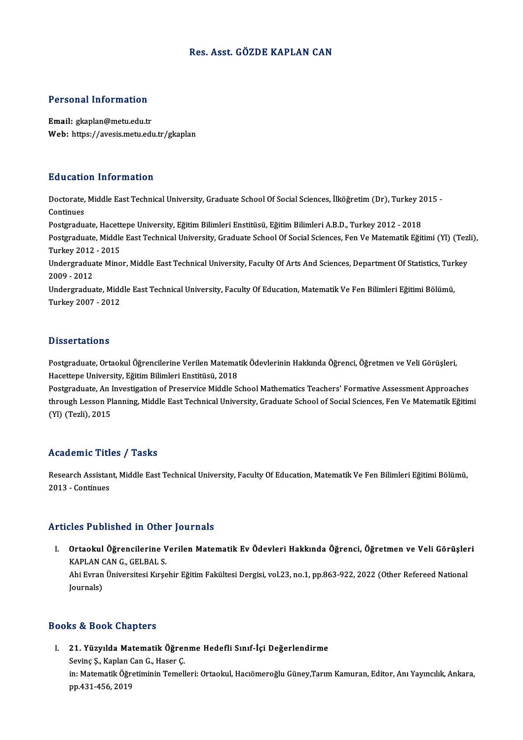### Res. Asst. GÖZDE KAPLAN CAN

### Personal Information

Email: gkaplan@metu.edu.tr Web: https://avesis.metu.edu.tr/gkaplan

#### Education Information

**Education Information**<br>Doctorate, Middle East Technical University, Graduate School Of Social Sciences, İlköğretim (Dr), Turkey 2015 -<br>Continues Doctorate,<br>Continues<br>Postaredus Doctorate, Middle East Technical University, Graduate School Of Social Sciences, İlköğretim (Dr), Turkey 2<br>Continues<br>Postgraduate, Hacettepe University, Eğitim Bilimleri Enstitüsü, Eğitim Bilimleri A.B.D., Turkey 2012 - 20 Continues<br>Postgraduate, Hacettepe University, Eğitim Bilimleri Enstitüsü, Eğitim Bilimleri A.B.D., Turkey 2012 - 2018<br>Postgraduate, Middle East Technical University, Graduate School Of Social Sciences, Fen Ve Matematik Eği Postgraduate, Hacett<br>Postgraduate, Middle<br>Turkey 2012 - 2015<br>Undergraduate Mine Postgraduate, Middle East Technical University, Graduate School Of Social Sciences, Fen Ve Matematik Eğitimi (Yl) (Tezl<br>Turkey 2012 - 2015<br>Undergraduate Minor, Middle East Technical University, Faculty Of Arts And Sciences Turkey 2012<br>Undergradua<br>2009 - 2012<br>Undergradua Undergraduate Minor, Middle East Technical University, Faculty Of Arts And Sciences, Department Of Statistics, Turl<br>2009 - 2012<br>Undergraduate, Middle East Technical University, Faculty Of Education, Matematik Ve Fen Biliml 2009 - 2012<br>Undergraduate, Middle East Technical University, Faculty Of Education, Matematik Ve Fen Bilimleri Eğitimi Bölümü,<br>Turkey 2007 - 2012

### **Dissertations**

Postgraduate, Ortaokul Öğrencilerine Verilen Matematik Ödevlerinin Hakkında Öğrenci, Öğretmen ve Veli Görüşleri, Hacettepe University, Eğitim Bilimleri Enstitüsü, 2018 Postgraduate, Ortaokul Öğrencilerine Verilen Matematik Ödevlerinin Hakkında Öğrenci, Öğretmen ve Veli Görüşleri,<br>Hacettepe University, Eğitim Bilimleri Enstitüsü, 2018<br>Postgraduate, An Investigation of Preservice Middle Sc

Hacettepe University, Eğitim Bilimleri Enstitüsü, 2018<br>Postgraduate, An Investigation of Preservice Middle School Mathematics Teachers' Formative Assessment Approaches<br>through Lesson Planning, Middle East Technical Univers Postgraduate, An l<br>through Lesson Pl<br>(Yl) (Tezli), 2015

# (YI) (Tezli), 2015<br>Academic Titles / Tasks

**Academic Titles / Tasks**<br>Research Assistant, Middle East Technical University, Faculty Of Education, Matematik Ve Fen Bilimleri Eğitimi Bölümü,<br>2013. .Continues Extractive Tree<br>Research Assistan<br>2013 - Continues

## Articles Published in Other Journals

I. Ortaokul Öğrencilerine Verilen Matematik Ev Ödevleri Hakkında Öğrenci, Öğretmen ve Veli Görüşleri<br>I. Ortaokul Öğrencilerine Verilen Matematik Ev Ödevleri Hakkında Öğrenci, Öğretmen ve Veli Görüşleri<br>KARLAN GAN GUERALS STED 1 WOMONOM IN CANCE<br>Ortaokul Öğrencilerine V<br>KAPLAN CAN G., GELBAL S.<br>Abi Euron Üniversitesi Kurs Ortaokul Öğrencilerine Verilen Matematik Ev Ödevleri Hakkında Öğrenci, Öğretmen ve Veli Görüşleı<br>KAPLAN CAN G., GELBAL S.<br>Ahi Evran Üniversitesi Kırşehir Eğitim Fakültesi Dergisi, vol.23, no.1, pp.863-922, 2022 (Other Refe KAPLAN CAN G., GELBAL S.<br>Ahi Evran Üniversitesi Kırşehir Eğitim Fakültesi Dergisi, vol.23, no.1, pp.863-922, 2022 (Other Refereed National<br>Journals)

#### Books&Book Chapters

I. 21. Yüzyılda Matematik Öğrenme Hedefli Sınıf-İçi Değerlendirme sə & Book dhapters<br>21. Yüzyılda Matematik Öğrer<br>Sevinç Ş., Kaplan Can G., Haser Ç. in: Matematik Öğretiminin Temelleri: Ortaokul, Hacıömeroğlu Güney,Tarım Kamuran, Editor, Anı Yayıncılık, Ankara,<br>pp.431-456, 2019 Sevinç Ş., Kaplan (<br>in: Matematik Öğr<br>pp.431-456, 2019